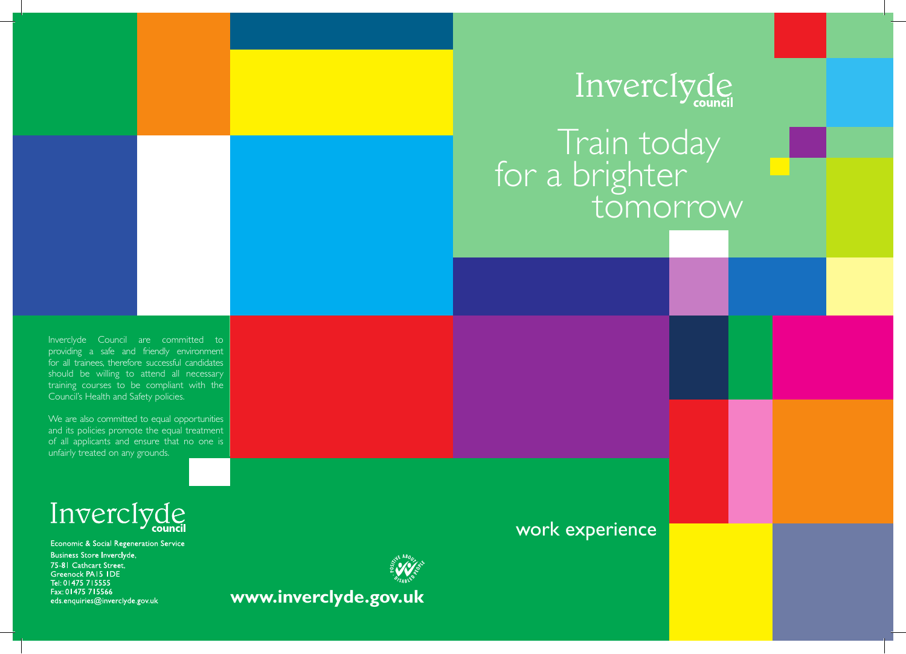